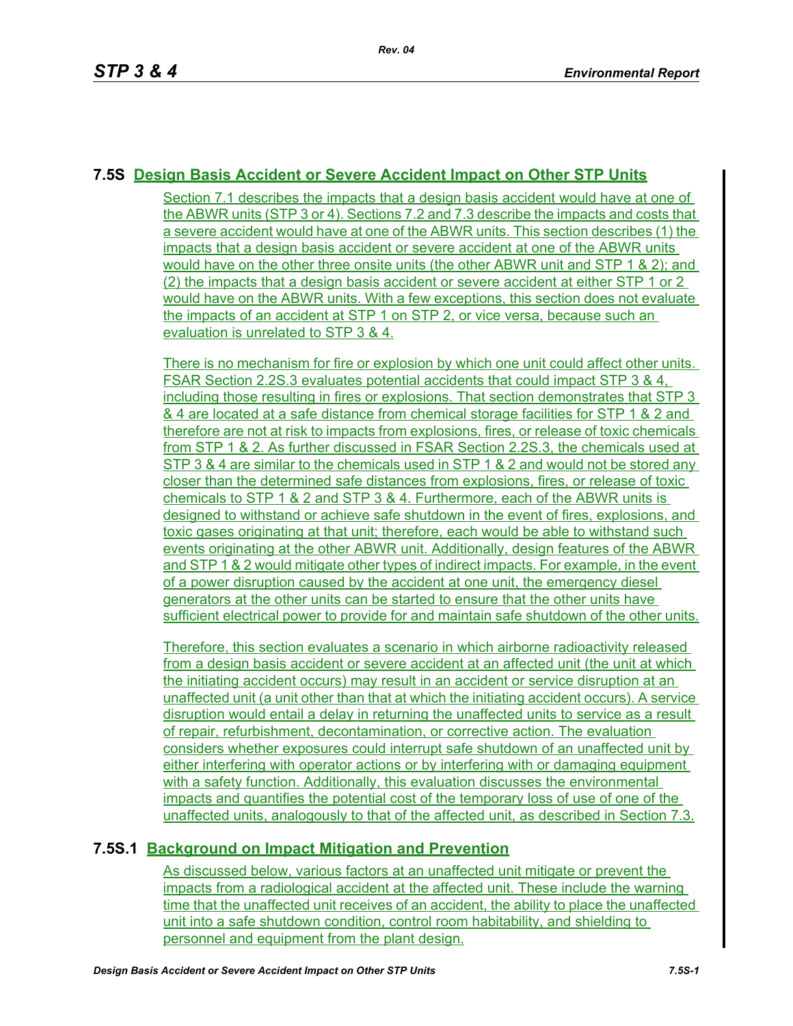## **7.5S Design Basis Accident or Severe Accident Impact on Other STP Units**

Section 7.1 describes the impacts that a design basis accident would have at one of the ABWR units (STP 3 or 4). Sections 7.2 and 7.3 describe the impacts and costs that a severe accident would have at one of the ABWR units. This section describes (1) the impacts that a design basis accident or severe accident at one of the ABWR units would have on the other three onsite units (the other ABWR unit and STP 1 & 2); and (2) the impacts that a design basis accident or severe accident at either STP 1 or 2 would have on the ABWR units. With a few exceptions, this section does not evaluate the impacts of an accident at STP 1 on STP 2, or vice versa, because such an evaluation is unrelated to STP 3 & 4.

There is no mechanism for fire or explosion by which one unit could affect other units. FSAR Section 2.2S.3 evaluates potential accidents that could impact STP 3 & 4, including those resulting in fires or explosions. That section demonstrates that STP 3 & 4 are located at a safe distance from chemical storage facilities for STP 1 & 2 and therefore are not at risk to impacts from explosions, fires, or release of toxic chemicals from STP 1 & 2. As further discussed in FSAR Section 2.2S.3, the chemicals used at STP 3 & 4 are similar to the chemicals used in STP 1 & 2 and would not be stored any closer than the determined safe distances from explosions, fires, or release of toxic chemicals to STP 1 & 2 and STP 3 & 4. Furthermore, each of the ABWR units is designed to withstand or achieve safe shutdown in the event of fires, explosions, and toxic gases originating at that unit; therefore, each would be able to withstand such events originating at the other ABWR unit. Additionally, design features of the ABWR and STP 1 & 2 would mitigate other types of indirect impacts. For example, in the event of a power disruption caused by the accident at one unit, the emergency diesel generators at the other units can be started to ensure that the other units have sufficient electrical power to provide for and maintain safe shutdown of the other units.

Therefore, this section evaluates a scenario in which airborne radioactivity released from a design basis accident or severe accident at an affected unit (the unit at which the initiating accident occurs) may result in an accident or service disruption at an unaffected unit (a unit other than that at which the initiating accident occurs). A service disruption would entail a delay in returning the unaffected units to service as a result of repair, refurbishment, decontamination, or corrective action. The evaluation considers whether exposures could interrupt safe shutdown of an unaffected unit by either interfering with operator actions or by interfering with or damaging equipment with a safety function. Additionally, this evaluation discusses the environmental impacts and quantifies the potential cost of the temporary loss of use of one of the unaffected units, analogously to that of the affected unit, as described in Section 7.3.

# **7.5S.1 Background on Impact Mitigation and Prevention**

As discussed below, various factors at an unaffected unit mitigate or prevent the impacts from a radiological accident at the affected unit. These include the warning time that the unaffected unit receives of an accident, the ability to place the unaffected unit into a safe shutdown condition, control room habitability, and shielding to personnel and equipment from the plant design.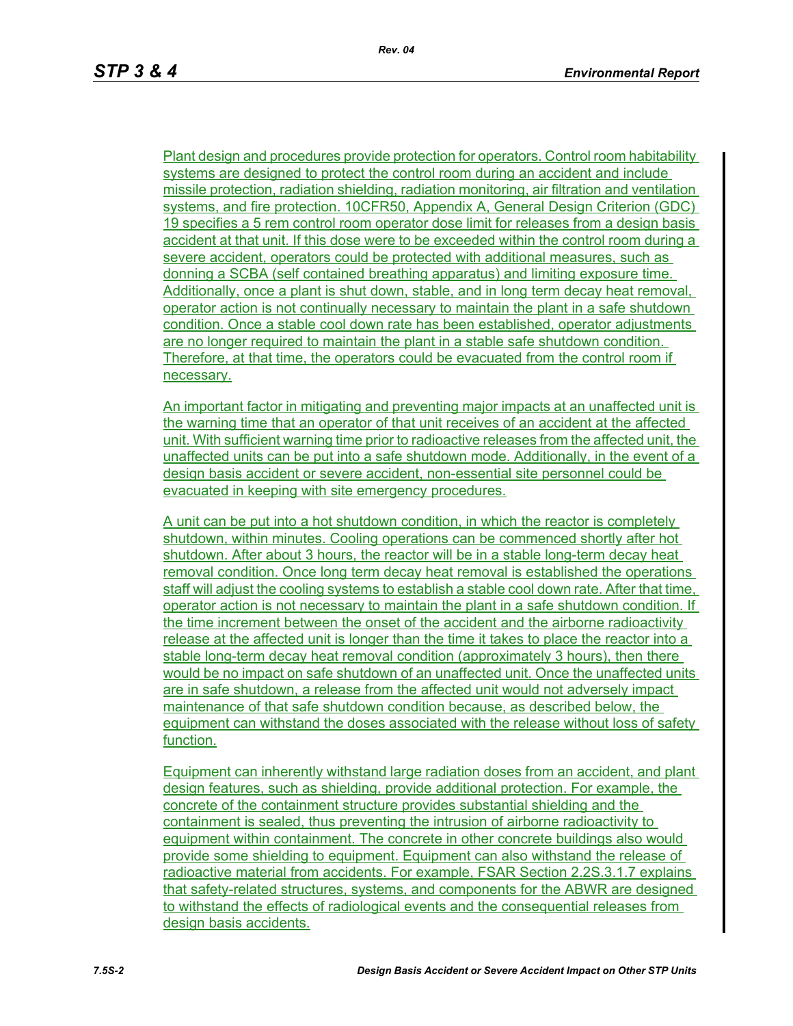Plant design and procedures provide protection for operators. Control room habitability systems are designed to protect the control room during an accident and include missile protection, radiation shielding, radiation monitoring, air filtration and ventilation systems, and fire protection. 10CFR50, Appendix A, General Design Criterion (GDC) 19 specifies a 5 rem control room operator dose limit for releases from a design basis accident at that unit. If this dose were to be exceeded within the control room during a severe accident, operators could be protected with additional measures, such as donning a SCBA (self contained breathing apparatus) and limiting exposure time. Additionally, once a plant is shut down, stable, and in long term decay heat removal, operator action is not continually necessary to maintain the plant in a safe shutdown condition. Once a stable cool down rate has been established, operator adjustments are no longer required to maintain the plant in a stable safe shutdown condition. Therefore, at that time, the operators could be evacuated from the control room if necessary.

An important factor in mitigating and preventing major impacts at an unaffected unit is the warning time that an operator of that unit receives of an accident at the affected unit. With sufficient warning time prior to radioactive releases from the affected unit, the unaffected units can be put into a safe shutdown mode. Additionally, in the event of a design basis accident or severe accident, non-essential site personnel could be evacuated in keeping with site emergency procedures.

A unit can be put into a hot shutdown condition, in which the reactor is completely shutdown, within minutes. Cooling operations can be commenced shortly after hot shutdown. After about 3 hours, the reactor will be in a stable long-term decay heat removal condition. Once long term decay heat removal is established the operations staff will adjust the cooling systems to establish a stable cool down rate. After that time, operator action is not necessary to maintain the plant in a safe shutdown condition. If the time increment between the onset of the accident and the airborne radioactivity release at the affected unit is longer than the time it takes to place the reactor into a stable long-term decay heat removal condition (approximately 3 hours), then there would be no impact on safe shutdown of an unaffected unit. Once the unaffected units are in safe shutdown, a release from the affected unit would not adversely impact maintenance of that safe shutdown condition because, as described below, the equipment can withstand the doses associated with the release without loss of safety function.

Equipment can inherently withstand large radiation doses from an accident, and plant design features, such as shielding, provide additional protection. For example, the concrete of the containment structure provides substantial shielding and the containment is sealed, thus preventing the intrusion of airborne radioactivity to equipment within containment. The concrete in other concrete buildings also would provide some shielding to equipment. Equipment can also withstand the release of radioactive material from accidents. For example, FSAR Section 2.2S.3.1.7 explains that safety-related structures, systems, and components for the ABWR are designed to withstand the effects of radiological events and the consequential releases from design basis accidents.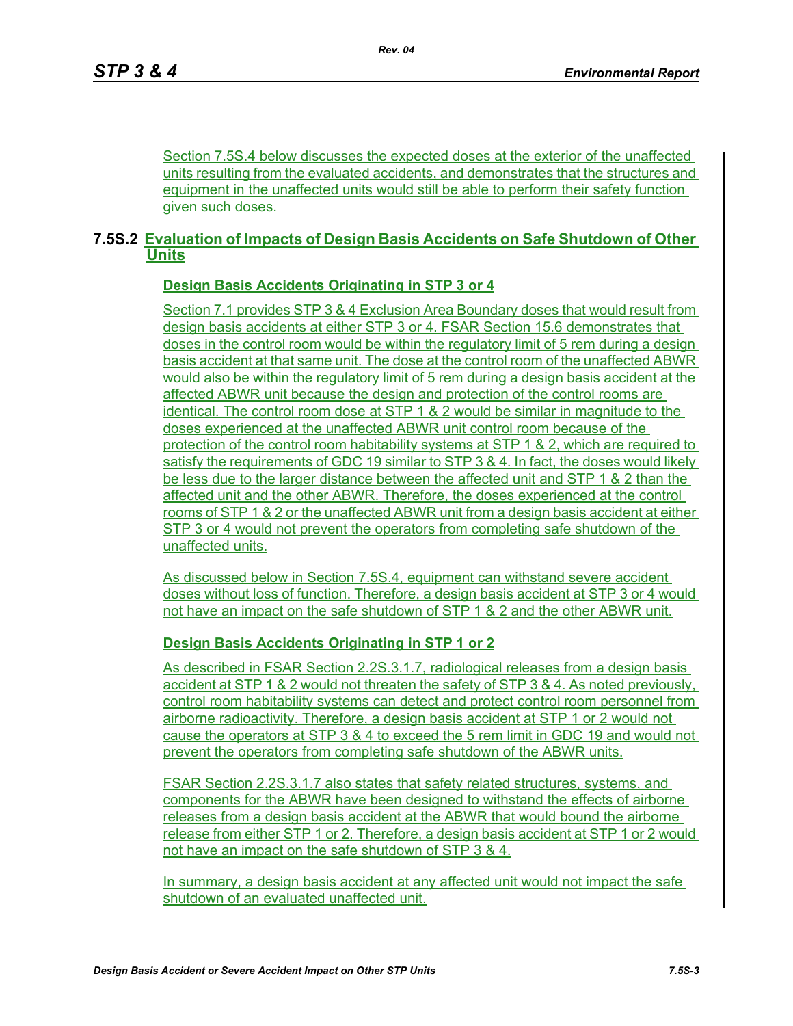Section 7.5S.4 below discusses the expected doses at the exterior of the unaffected units resulting from the evaluated accidents, and demonstrates that the structures and equipment in the unaffected units would still be able to perform their safety function given such doses.

## **7.5S.2 Evaluation of Impacts of Design Basis Accidents on Safe Shutdown of Other Units**

## **Design Basis Accidents Originating in STP 3 or 4**

Section 7.1 provides STP 3 & 4 Exclusion Area Boundary doses that would result from design basis accidents at either STP 3 or 4. FSAR Section 15.6 demonstrates that doses in the control room would be within the regulatory limit of 5 rem during a design basis accident at that same unit. The dose at the control room of the unaffected ABWR would also be within the regulatory limit of 5 rem during a design basis accident at the affected ABWR unit because the design and protection of the control rooms are identical. The control room dose at STP 1 & 2 would be similar in magnitude to the doses experienced at the unaffected ABWR unit control room because of the protection of the control room habitability systems at STP 1 & 2, which are required to satisfy the requirements of GDC 19 similar to STP 3 & 4. In fact, the doses would likely be less due to the larger distance between the affected unit and STP 1 & 2 than the affected unit and the other ABWR. Therefore, the doses experienced at the control rooms of STP 1 & 2 or the unaffected ABWR unit from a design basis accident at either STP 3 or 4 would not prevent the operators from completing safe shutdown of the unaffected units.

As discussed below in Section 7.5S.4, equipment can withstand severe accident doses without loss of function. Therefore, a design basis accident at STP 3 or 4 would not have an impact on the safe shutdown of STP 1 & 2 and the other ABWR unit.

## **Design Basis Accidents Originating in STP 1 or 2**

As described in FSAR Section 2.2S.3.1.7, radiological releases from a design basis accident at STP 1 & 2 would not threaten the safety of STP 3 & 4. As noted previously, control room habitability systems can detect and protect control room personnel from airborne radioactivity. Therefore, a design basis accident at STP 1 or 2 would not cause the operators at STP 3 & 4 to exceed the 5 rem limit in GDC 19 and would not prevent the operators from completing safe shutdown of the ABWR units.

FSAR Section 2.2S.3.1.7 also states that safety related structures, systems, and components for the ABWR have been designed to withstand the effects of airborne releases from a design basis accident at the ABWR that would bound the airborne release from either STP 1 or 2. Therefore, a design basis accident at STP 1 or 2 would not have an impact on the safe shutdown of STP 3 & 4.

In summary, a design basis accident at any affected unit would not impact the safe shutdown of an evaluated unaffected unit.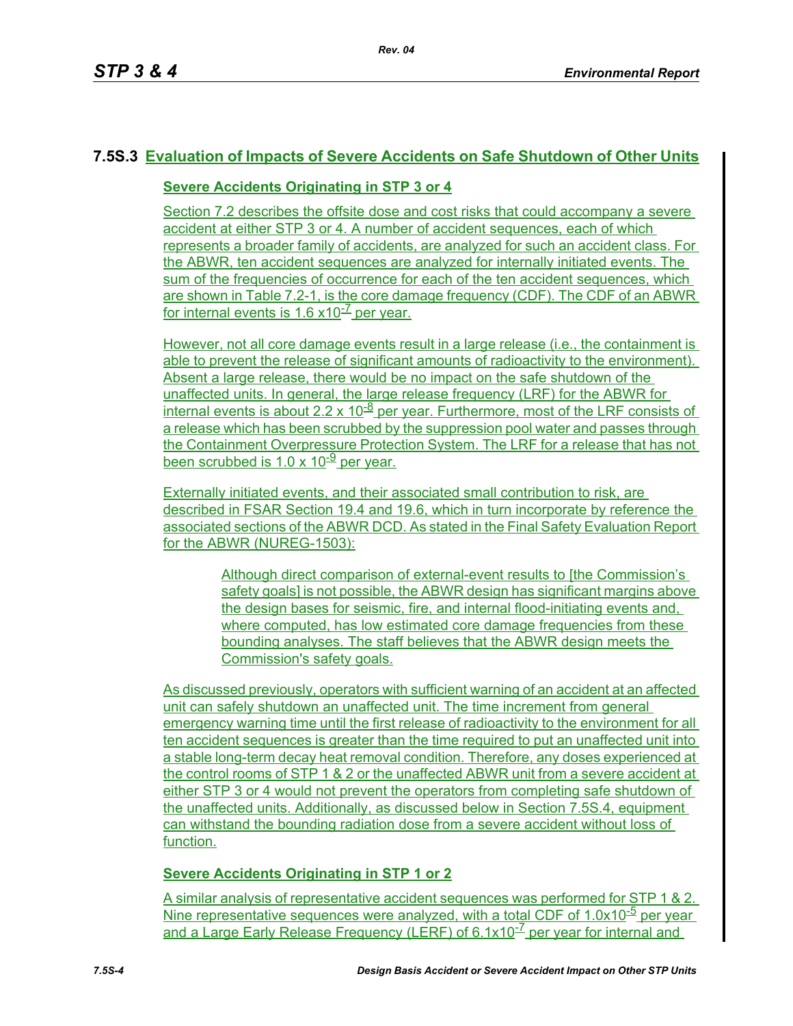## **7.5S.3 Evaluation of Impacts of Severe Accidents on Safe Shutdown of Other Units**

### **Severe Accidents Originating in STP 3 or 4**

Section 7.2 describes the offsite dose and cost risks that could accompany a severe accident at either STP 3 or 4. A number of accident sequences, each of which represents a broader family of accidents, are analyzed for such an accident class. For the ABWR, ten accident sequences are analyzed for internally initiated events. The sum of the frequencies of occurrence for each of the ten accident sequences, which are shown in Table 7.2-1, is the core damage frequency (CDF). The CDF of an ABWR for internal events is 1.6  $\times$ 10<sup>- $\angle$ </sup> per year.

However, not all core damage events result in a large release (i.e., the containment is able to prevent the release of significant amounts of radioactivity to the environment). Absent a large release, there would be no impact on the safe shutdown of the unaffected units. In general, the large release frequency (LRF) for the ABWR for internal events is about  $2.2 \times 10^{-8}$  per year. Furthermore, most of the LRF consists of a release which has been scrubbed by the suppression pool water and passes through the Containment Overpressure Protection System. The LRF for a release that has not been scrubbed is 1.0 x 10 $\frac{9}{2}$  per year.

Externally initiated events, and their associated small contribution to risk, are described in FSAR Section 19.4 and 19.6, which in turn incorporate by reference the associated sections of the ABWR DCD. As stated in the Final Safety Evaluation Report for the ABWR (NUREG-1503):

> Although direct comparison of external-event results to [the Commission's safety goals] is not possible, the ABWR design has significant margins above the design bases for seismic, fire, and internal flood-initiating events and, where computed, has low estimated core damage frequencies from these bounding analyses. The staff believes that the ABWR design meets the Commission's safety goals.

As discussed previously, operators with sufficient warning of an accident at an affected unit can safely shutdown an unaffected unit. The time increment from general emergency warning time until the first release of radioactivity to the environment for all ten accident sequences is greater than the time required to put an unaffected unit into a stable long-term decay heat removal condition. Therefore, any doses experienced at the control rooms of STP 1 & 2 or the unaffected ABWR unit from a severe accident at either STP 3 or 4 would not prevent the operators from completing safe shutdown of the unaffected units. Additionally, as discussed below in Section 7.5S.4, equipment can withstand the bounding radiation dose from a severe accident without loss of function.

**Severe Accidents Originating in STP 1 or 2**

A similar analysis of representative accident sequences was performed for STP 1 & 2. Nine representative sequences were analyzed, with a total CDF of  $1.0x10^{-5}$  per year and a Large Early Release Frequency (LERF) of  $6.1x10^{-7}$  per year for internal and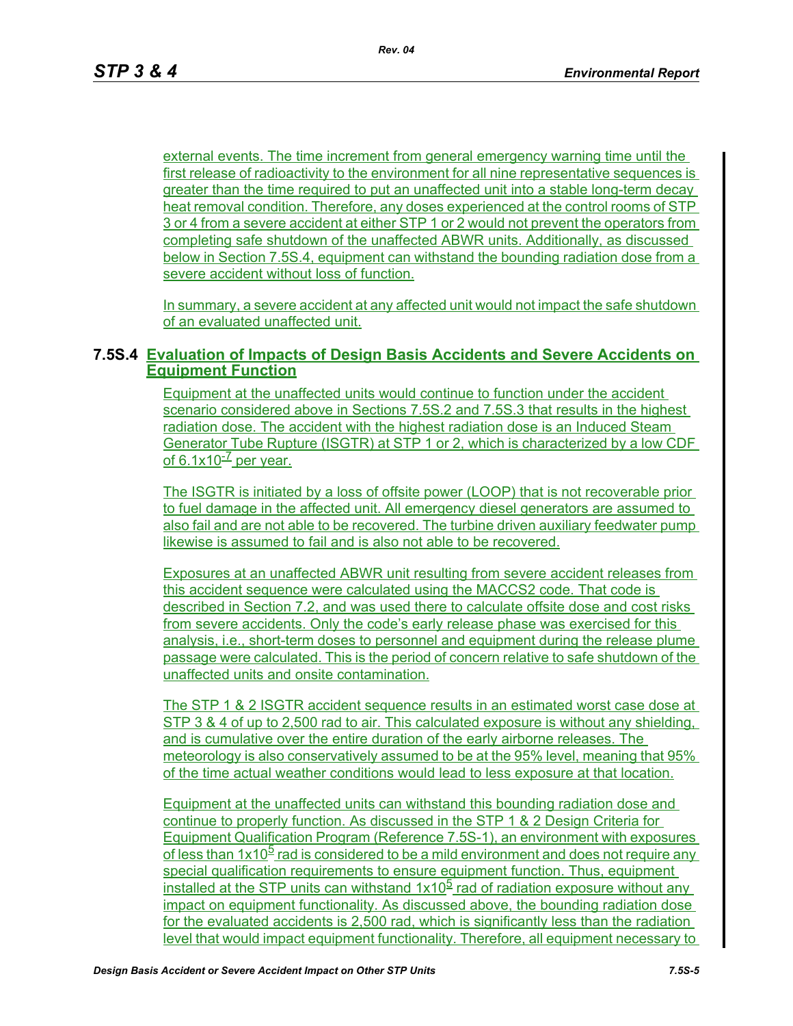external events. The time increment from general emergency warning time until the first release of radioactivity to the environment for all nine representative sequences is greater than the time required to put an unaffected unit into a stable long-term decay heat removal condition. Therefore, any doses experienced at the control rooms of STP 3 or 4 from a severe accident at either STP 1 or 2 would not prevent the operators from completing safe shutdown of the unaffected ABWR units. Additionally, as discussed below in Section 7.5S.4, equipment can withstand the bounding radiation dose from a severe accident without loss of function.

In summary, a severe accident at any affected unit would not impact the safe shutdown of an evaluated unaffected unit.

#### **7.5S.4 Evaluation of Impacts of Design Basis Accidents and Severe Accidents on Equipment Function**

Equipment at the unaffected units would continue to function under the accident scenario considered above in Sections 7.5S.2 and 7.5S.3 that results in the highest radiation dose. The accident with the highest radiation dose is an Induced Steam Generator Tube Rupture (ISGTR) at STP 1 or 2, which is characterized by a low CDF of 6.1 $x10^{-7}$  per year.

The ISGTR is initiated by a loss of offsite power (LOOP) that is not recoverable prior to fuel damage in the affected unit. All emergency diesel generators are assumed to also fail and are not able to be recovered. The turbine driven auxiliary feedwater pump likewise is assumed to fail and is also not able to be recovered.

Exposures at an unaffected ABWR unit resulting from severe accident releases from this accident sequence were calculated using the MACCS2 code. That code is described in Section 7.2, and was used there to calculate offsite dose and cost risks from severe accidents. Only the code's early release phase was exercised for this analysis, i.e., short-term doses to personnel and equipment during the release plume passage were calculated. This is the period of concern relative to safe shutdown of the unaffected units and onsite contamination.

The STP 1 & 2 ISGTR accident sequence results in an estimated worst case dose at STP 3 & 4 of up to 2,500 rad to air. This calculated exposure is without any shielding, and is cumulative over the entire duration of the early airborne releases. The meteorology is also conservatively assumed to be at the 95% level, meaning that 95% of the time actual weather conditions would lead to less exposure at that location.

Equipment at the unaffected units can withstand this bounding radiation dose and continue to properly function. As discussed in the STP 1 & 2 Design Criteria for Equipment Qualification Program (Reference 7.5S-1), an environment with exposures of less than  $1x10<sup>5</sup>$  rad is considered to be a mild environment and does not require any special qualification requirements to ensure equipment function. Thus, equipment installed at the STP units can withstand  $1x10<sup>5</sup>$  rad of radiation exposure without any impact on equipment functionality. As discussed above, the bounding radiation dose for the evaluated accidents is 2,500 rad, which is significantly less than the radiation level that would impact equipment functionality. Therefore, all equipment necessary to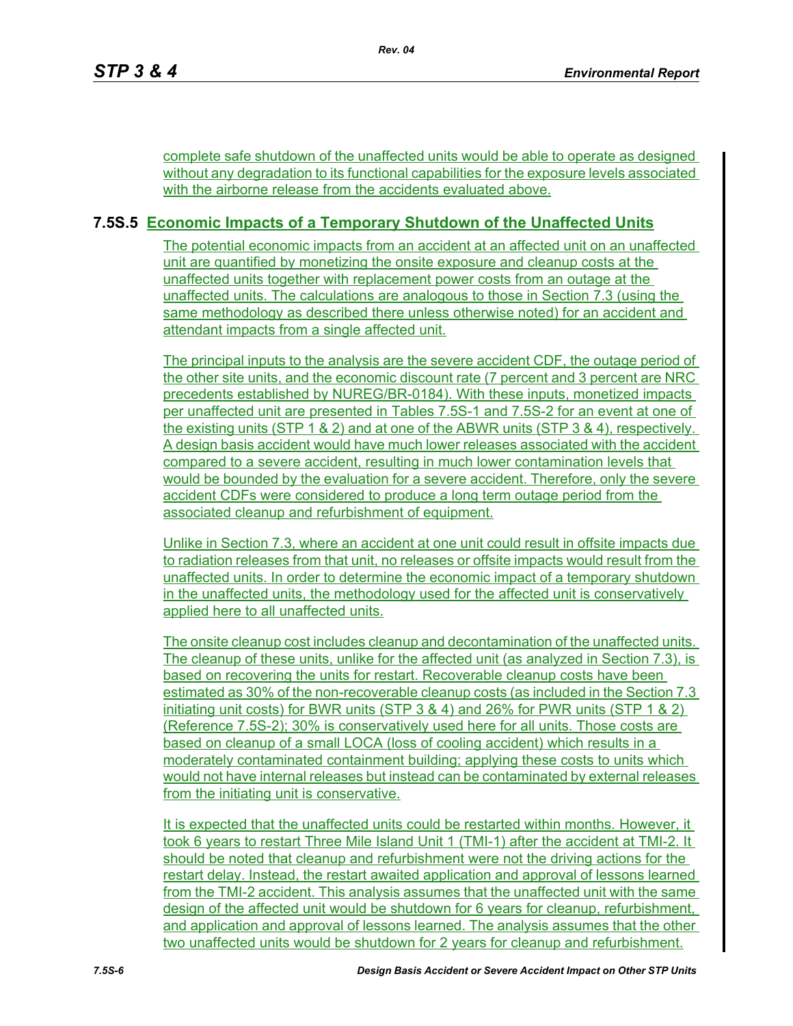complete safe shutdown of the unaffected units would be able to operate as designed without any degradation to its functional capabilities for the exposure levels associated with the airborne release from the accidents evaluated above.

## **7.5S.5 Economic Impacts of a Temporary Shutdown of the Unaffected Units**

The potential economic impacts from an accident at an affected unit on an unaffected unit are quantified by monetizing the onsite exposure and cleanup costs at the unaffected units together with replacement power costs from an outage at the unaffected units. The calculations are analogous to those in Section 7.3 (using the same methodology as described there unless otherwise noted) for an accident and attendant impacts from a single affected unit.

The principal inputs to the analysis are the severe accident CDF, the outage period of the other site units, and the economic discount rate (7 percent and 3 percent are NRC precedents established by NUREG/BR-0184). With these inputs, monetized impacts per unaffected unit are presented in Tables 7.5S-1 and 7.5S-2 for an event at one of the existing units (STP 1 & 2) and at one of the ABWR units (STP 3 & 4), respectively. A design basis accident would have much lower releases associated with the accident compared to a severe accident, resulting in much lower contamination levels that would be bounded by the evaluation for a severe accident. Therefore, only the severe accident CDFs were considered to produce a long term outage period from the associated cleanup and refurbishment of equipment.

Unlike in Section 7.3, where an accident at one unit could result in offsite impacts due to radiation releases from that unit, no releases or offsite impacts would result from the unaffected units. In order to determine the economic impact of a temporary shutdown in the unaffected units, the methodology used for the affected unit is conservatively applied here to all unaffected units.

The onsite cleanup cost includes cleanup and decontamination of the unaffected units. The cleanup of these units, unlike for the affected unit (as analyzed in Section 7.3), is based on recovering the units for restart. Recoverable cleanup costs have been estimated as 30% of the non-recoverable cleanup costs (as included in the Section 7.3 initiating unit costs) for BWR units (STP 3 & 4) and 26% for PWR units (STP 1 & 2) (Reference 7.5S-2); 30% is conservatively used here for all units. Those costs are based on cleanup of a small LOCA (loss of cooling accident) which results in a moderately contaminated containment building; applying these costs to units which would not have internal releases but instead can be contaminated by external releases from the initiating unit is conservative.

It is expected that the unaffected units could be restarted within months. However, it took 6 years to restart Three Mile Island Unit 1 (TMI-1) after the accident at TMI-2. It should be noted that cleanup and refurbishment were not the driving actions for the restart delay. Instead, the restart awaited application and approval of lessons learned from the TMI-2 accident. This analysis assumes that the unaffected unit with the same design of the affected unit would be shutdown for 6 years for cleanup, refurbishment, and application and approval of lessons learned. The analysis assumes that the other two unaffected units would be shutdown for 2 years for cleanup and refurbishment.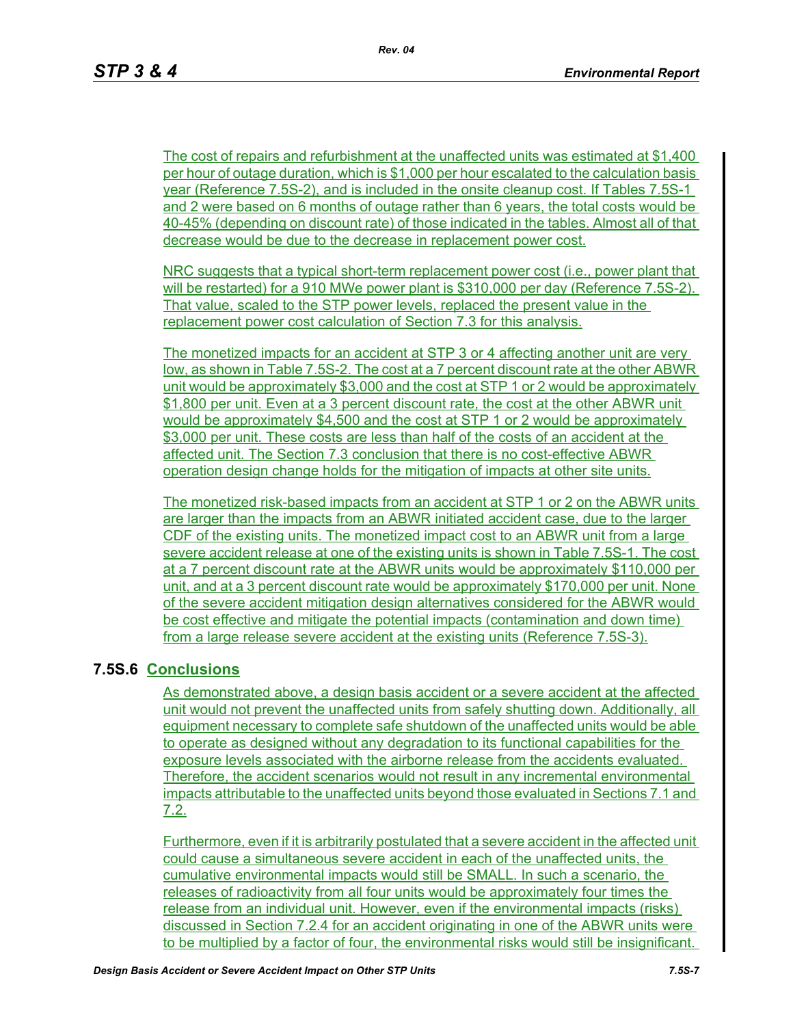The cost of repairs and refurbishment at the unaffected units was estimated at \$1,400 per hour of outage duration, which is \$1,000 per hour escalated to the calculation basis year (Reference 7.5S-2), and is included in the onsite cleanup cost. If Tables 7.5S-1 and 2 were based on 6 months of outage rather than 6 years, the total costs would be 40-45% (depending on discount rate) of those indicated in the tables. Almost all of that decrease would be due to the decrease in replacement power cost.

NRC suggests that a typical short-term replacement power cost (i.e., power plant that will be restarted) for a 910 MWe power plant is \$310,000 per day (Reference 7.5S-2). That value, scaled to the STP power levels, replaced the present value in the replacement power cost calculation of Section 7.3 for this analysis.

The monetized impacts for an accident at STP 3 or 4 affecting another unit are very low, as shown in Table 7.5S-2. The cost at a 7 percent discount rate at the other ABWR unit would be approximately \$3,000 and the cost at STP 1 or 2 would be approximately \$1,800 per unit. Even at a 3 percent discount rate, the cost at the other ABWR unit would be approximately \$4,500 and the cost at STP 1 or 2 would be approximately \$3,000 per unit. These costs are less than half of the costs of an accident at the affected unit. The Section 7.3 conclusion that there is no cost-effective ABWR operation design change holds for the mitigation of impacts at other site units.

The monetized risk-based impacts from an accident at STP 1 or 2 on the ABWR units are larger than the impacts from an ABWR initiated accident case, due to the larger CDF of the existing units. The monetized impact cost to an ABWR unit from a large severe accident release at one of the existing units is shown in Table 7.5S-1. The cost at a 7 percent discount rate at the ABWR units would be approximately \$110,000 per unit, and at a 3 percent discount rate would be approximately \$170,000 per unit. None of the severe accident mitigation design alternatives considered for the ABWR would be cost effective and mitigate the potential impacts (contamination and down time) from a large release severe accident at the existing units (Reference 7.5S-3).

## **7.5S.6 Conclusions**

As demonstrated above, a design basis accident or a severe accident at the affected unit would not prevent the unaffected units from safely shutting down. Additionally, all equipment necessary to complete safe shutdown of the unaffected units would be able to operate as designed without any degradation to its functional capabilities for the exposure levels associated with the airborne release from the accidents evaluated. Therefore, the accident scenarios would not result in any incremental environmental impacts attributable to the unaffected units beyond those evaluated in Sections 7.1 and 7.2.

Furthermore, even if it is arbitrarily postulated that a severe accident in the affected unit could cause a simultaneous severe accident in each of the unaffected units, the cumulative environmental impacts would still be SMALL. In such a scenario, the releases of radioactivity from all four units would be approximately four times the release from an individual unit. However, even if the environmental impacts (risks) discussed in Section 7.2.4 for an accident originating in one of the ABWR units were to be multiplied by a factor of four, the environmental risks would still be insignificant.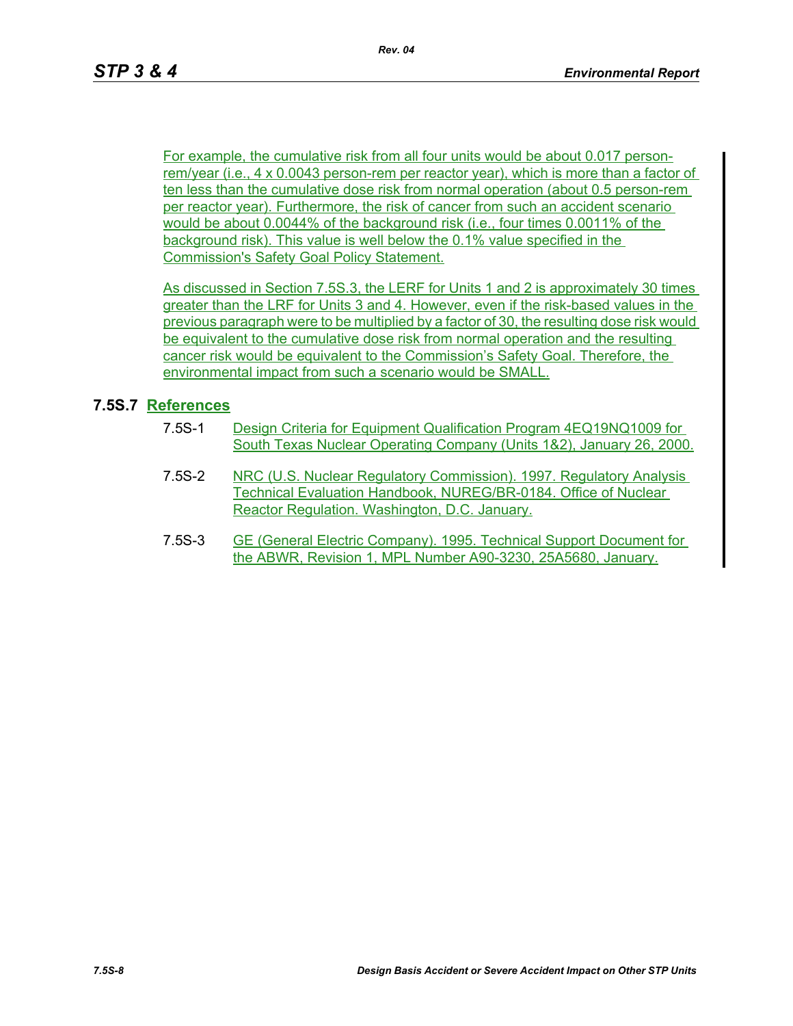For example, the cumulative risk from all four units would be about 0.017 personrem/year (i.e., 4 x 0.0043 person-rem per reactor year), which is more than a factor of ten less than the cumulative dose risk from normal operation (about 0.5 person-rem per reactor year). Furthermore, the risk of cancer from such an accident scenario would be about 0.0044% of the background risk (i.e., four times 0.0011% of the background risk). This value is well below the 0.1% value specified in the Commission's Safety Goal Policy Statement.

As discussed in Section 7.5S.3, the LERF for Units 1 and 2 is approximately 30 times greater than the LRF for Units 3 and 4. However, even if the risk-based values in the previous paragraph were to be multiplied by a factor of 30, the resulting dose risk would be equivalent to the cumulative dose risk from normal operation and the resulting cancer risk would be equivalent to the Commission's Safety Goal. Therefore, the environmental impact from such a scenario would be SMALL.

### **7.5S.7 References**

- 7.5S-1 Design Criteria for Equipment Qualification Program 4EQ19NQ1009 for South Texas Nuclear Operating Company (Units 1&2), January 26, 2000.
- 7.5S-2 NRC (U.S. Nuclear Regulatory Commission). 1997. Regulatory Analysis Technical Evaluation Handbook, NUREG/BR-0184. Office of Nuclear Reactor Regulation. Washington, D.C. January.
- 7.5S-3 GE (General Electric Company). 1995. Technical Support Document for the ABWR, Revision 1, MPL Number A90-3230, 25A5680, January.